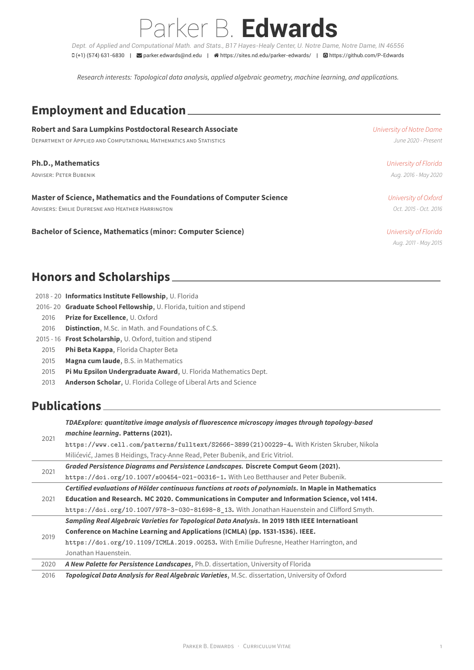Parker B. **Edwards** *Dept. of Applied and Computational Math. and Stats., B17 Hayes-Healy Center, U. Notre Dame, Notre Dame, IN 46556* (+1) (574) 631-6830 | parker.edwards@nd.edu | https://sites.nd.edu/parker-edwards/ | https://github.com/P-Edwards

*Research interests: Topological data analysis, applied algebraic geometry, machine learning, and applications.*

#### **Employment and Education**

| <b>Robert and Sara Lumpkins Postdoctoral Research Associate</b>        | University of Notre Dame |
|------------------------------------------------------------------------|--------------------------|
| DEPARTMENT OF APPLIED AND COMPUTATIONAL MATHEMATICS AND STATISTICS     | June 2020 - Present      |
| <b>Ph.D., Mathematics</b>                                              | University of Florida    |
| <b>ADVISER: PETER BUBENIK</b>                                          | Aug. 2016 - May 2020     |
| Master of Science, Mathematics and the Foundations of Computer Science | University of Oxford     |
| ADVISERS: EMILIE DUFRESNE AND HEATHER HARRINGTON                       | Oct. 2015 - Oct. 2016    |
| <b>Bachelor of Science, Mathematics (minor: Computer Science)</b>      | University of Florida    |
|                                                                        | Aug. 2011 - May 2015     |

#### **Honors and Scholarships**

|      | 2018 - 20 Informatics Institute Fellowship, U. Florida                  |
|------|-------------------------------------------------------------------------|
|      | 2016-20 Graduate School Fellowship, U. Florida, tuition and stipend     |
| 2016 | <b>Prize for Excellence, U. Oxford</b>                                  |
| 2016 | <b>Distinction, M.Sc. in Math. and Foundations of C.S.</b>              |
|      | 2015 - 16 Frost Scholarship, U. Oxford, tuition and stipend             |
| 2015 | <b>Phi Beta Kappa, Florida Chapter Beta</b>                             |
| 2015 | <b>Magna cum laude, B.S. in Mathematics</b>                             |
| 2015 | Pi Mu Epsilon Undergraduate Award, U. Florida Mathematics Dept.         |
| 2013 | <b>Anderson Scholar, U. Florida College of Liberal Arts and Science</b> |
|      |                                                                         |

# **Publications**

2021

*TDAExplore: quantitative image analysis of fluorescence microscopy images through topology-based machine learning***. Patterns (2021). https://www.cell.com/patterns/fulltext/S2666-3899(21)00229-4.** With Kristen Skruber, Nikola

|      | https://www.cell.com/patterns/fulltext/S2666-3899(21)00229-4. With Kristen Skruber, Nikola            |
|------|-------------------------------------------------------------------------------------------------------|
|      | Milićević, James B Heidings, Tracy-Anne Read, Peter Bubenik, and Eric Vitriol.                        |
|      | Graded Persistence Diagrams and Persistence Landscapes. Discrete Comput Geom (2021).                  |
| 2021 | https://doi.org/10.1007/s00454-021-00316-1. With Leo Betthauser and Peter Bubenik.                    |
|      | Certified evaluations of Hölder continuous functions at roots of polynomials. In Maple in Mathematics |
| 2021 | Education and Research. MC 2020. Communications in Computer and Information Science, vol 1414.        |
|      | https://doi.org/10.1007/978-3-030-81698-8_13. With Jonathan Hauenstein and Clifford Smyth.            |
|      | Sampling Real Algebraic Varieties for Topological Data Analysis. In 2019 18th IEEE Internatioanl      |
| 2019 | Conference on Machine Learning and Applications (ICMLA) (pp. 1531-1536). IEEE.                        |
|      | https://doi.org/10.1109/ICMLA.2019.00253. With Emilie Dufresne, Heather Harrington, and               |
|      | Jonathan Hauenstein.                                                                                  |
| 2020 | A New Palette for Persistence Landscapes, Ph.D. dissertation, University of Florida                   |
| 2016 | Topological Data Analysis for Real Algebraic Varieties, M.Sc. dissertation, University of Oxford      |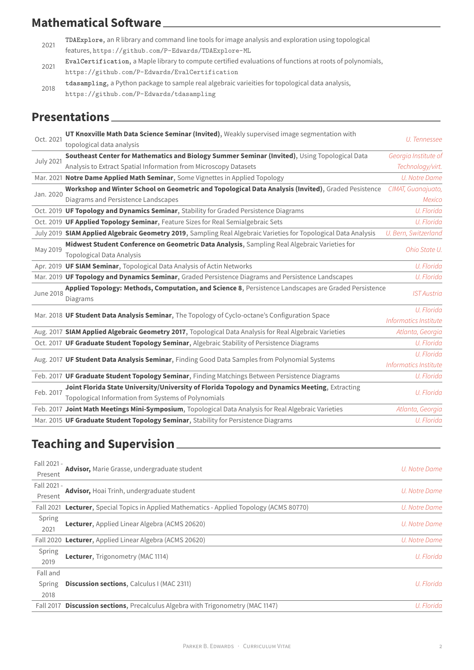| 2021 | TDREXPLOTE, an initially and command the tools for milage analysis and exploration using topological |
|------|------------------------------------------------------------------------------------------------------|
|      | features, https://github.com/P-Edwards/TDAExplore-ML                                                 |

- 2021 **EvalCertification**, a Maple library to compute certified evaluations of functions at roots of polynomials, https://github.com/P-Edwards/EvalCertification
- 2018 **tdasampling**, a Python package to sample real algebraic varieities for topological data analysis,
- https:/[/github.com/P-Edwards/tdasampling](https://github.com/P-Edwards/TDAExplore-ML)

### **Prese[ntations](https://github.com/P-Edwards/EvalCertification)**

| Oct. 2021        | UT Knoxville Math Data Science Seminar (Invited), Weakly supervised image segmentation with<br>topological data analysis                              | U. Tennessee                        |
|------------------|-------------------------------------------------------------------------------------------------------------------------------------------------------|-------------------------------------|
| <b>July 2021</b> | Southeast Center for Mathematics and Biology Summer Seminar (Invited), Using Topological Data                                                         | Georgia Institute of                |
|                  | Analysis to Extract Spatial Information from Microscopy Datasets                                                                                      | Technology/virt.                    |
|                  | Mar. 2021 Notre Dame Applied Math Seminar, Some Vignettes in Applied Topology                                                                         | U. Notre Dame                       |
| Jan. 2020        | Workshop and Winter School on Geometric and Topological Data Analysis (Invited), Graded Pesistence                                                    | CIMAT, Guanajuato,                  |
|                  | Diagrams and Persistence Landscapes                                                                                                                   | <b>Mexico</b>                       |
|                  | Oct. 2019 UF Topology and Dynamics Seminar, Stability for Graded Persistence Diagrams                                                                 | U. Florida                          |
|                  | Oct. 2019 UF Applied Topology Seminar, Feature Sizes for Real Semialgebraic Sets                                                                      | U. Florida                          |
|                  | July 2019 SIAM Applied Algebraic Geometry 2019, Sampling Real Algebraic Varieties for Topological Data Analysis                                       | U. Bern, Switzerland                |
| May 2019         | Midwest Student Conference on Geometric Data Analysis, Sampling Real Algebraic Varieties for<br><b>Topological Data Analysis</b>                      | Ohio State U.                       |
|                  | Apr. 2019 UF SIAM Seminar, Topological Data Analysis of Actin Networks                                                                                | U. Florida                          |
|                  | Mar. 2019 UF Topology and Dynamics Seminar, Graded Persistence Diagrams and Persistence Landscapes                                                    | U. Florida                          |
| <b>June 2018</b> | Applied Topology: Methods, Computation, and Science 8, Persistence Landscapes are Graded Persistence<br>Diagrams                                      | <b>IST Austria</b>                  |
|                  | Mar. 2018 UF Student Data Analysis Seminar, The Topology of Cyclo-octane's Configuration Space                                                        | U. Florida<br>Informatics Institute |
|                  | Aug. 2017 SIAM Applied Algebraic Geometry 2017, Topological Data Analysis for Real Algebraic Varieties                                                | Atlanta, Georgia                    |
|                  | Oct. 2017 UF Graduate Student Topology Seminar, Algebraic Stability of Persistence Diagrams                                                           | U. Florida                          |
|                  | Aug. 2017 UF Student Data Analysis Seminar, Finding Good Data Samples from Polynomial Systems                                                         | U. Florida<br>Informatics Institute |
|                  | Feb. 2017 UF Graduate Student Topology Seminar, Finding Matchings Between Persistence Diagrams                                                        | U. Florida                          |
| Feb. 2017        | Joint Florida State University/University of Florida Topology and Dynamics Meeting, Extracting<br>Topological Information from Systems of Polynomials | U. Florida                          |
|                  | Feb. 2017 Joint Math Meetings Mini-Symposium, Topological Data Analysis for Real Algebraic Varieties                                                  | Atlanta, Georgia                    |
|                  | Mar. 2015 UF Graduate Student Topology Seminar, Stability for Persistence Diagrams                                                                    | U. Florida                          |
|                  |                                                                                                                                                       |                                     |

# **Teaching and Supervision**

| Fall 2021 -      |                                                                                           |               |
|------------------|-------------------------------------------------------------------------------------------|---------------|
| Present          | Advisor, Marie Grasse, undergraduate student                                              | U. Notre Dame |
| Fall 2021 -      |                                                                                           |               |
| Present          | Advisor, Hoai Trinh, undergraduate student                                                | U. Notre Dame |
|                  | Fall 2021 Lecturer, Special Topics in Applied Mathematics - Applied Topology (ACMS 80770) | U. Notre Dame |
| Spring           |                                                                                           |               |
| 2021             | <b>Lecturer, Applied Linear Algebra (ACMS 20620)</b>                                      | U. Notre Dame |
|                  | Fall 2020 Lecturer, Applied Linear Algebra (ACMS 20620)                                   | U. Notre Dame |
| Spring           | <b>Lecturer, Trigonometry (MAC 1114)</b>                                                  | U. Florida    |
| 2019             |                                                                                           |               |
| Fall and         |                                                                                           |               |
| Spring           | <b>Discussion sections, Calculus I (MAC 2311)</b>                                         | U. Florida    |
| 2018             |                                                                                           |               |
| <b>Fall 2017</b> | <b>Discussion sections</b> , Precalculus Algebra with Trigonometry (MAC 1147)             | U. Florida    |
|                  |                                                                                           |               |